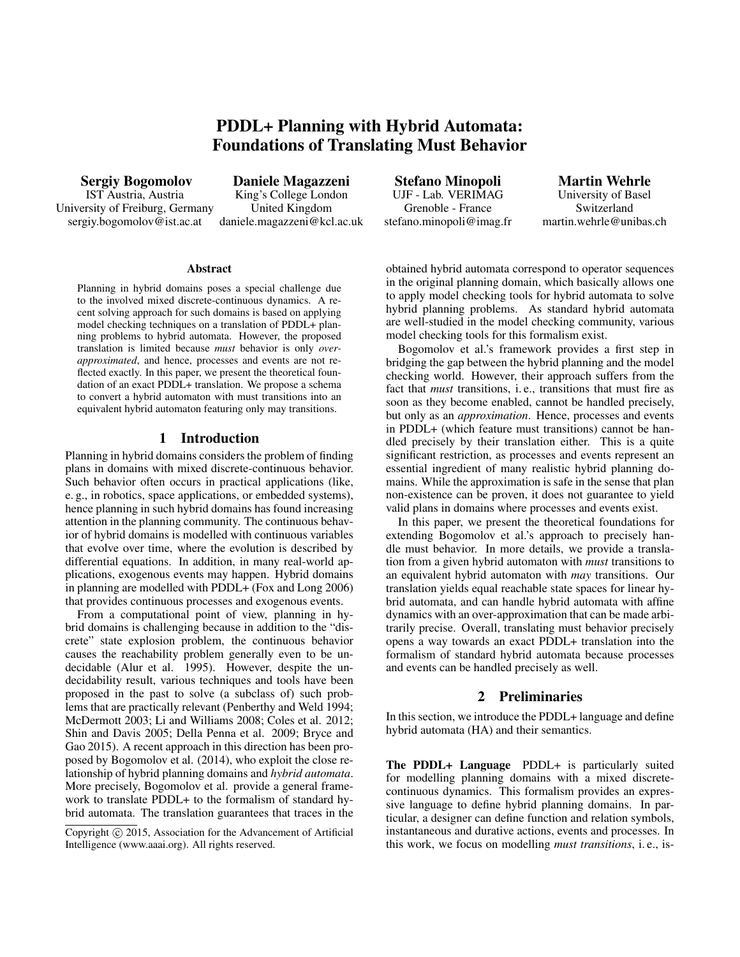# PDDL+ Planning with Hybrid Automata: Foundations of Translating Must Behavior

Sergiy Bogomolov IST Austria, Austria University of Freiburg, Germany sergiy.bogomolov@ist.ac.at

Daniele Magazzeni King's College London United Kingdom daniele.magazzeni@kcl.ac.uk

Stefano Minopoli UJF - Lab. VERIMAG Grenoble - France stefano.minopoli@imag.fr

Martin Wehrle University of Basel Switzerland martin.wehrle@unibas.ch

#### Abstract

Planning in hybrid domains poses a special challenge due to the involved mixed discrete-continuous dynamics. A recent solving approach for such domains is based on applying model checking techniques on a translation of PDDL+ planning problems to hybrid automata. However, the proposed translation is limited because *must* behavior is only *overapproximated*, and hence, processes and events are not reflected exactly. In this paper, we present the theoretical foundation of an exact PDDL+ translation. We propose a schema to convert a hybrid automaton with must transitions into an equivalent hybrid automaton featuring only may transitions.

# 1 Introduction

Planning in hybrid domains considers the problem of finding plans in domains with mixed discrete-continuous behavior. Such behavior often occurs in practical applications (like, e. g., in robotics, space applications, or embedded systems), hence planning in such hybrid domains has found increasing attention in the planning community. The continuous behavior of hybrid domains is modelled with continuous variables that evolve over time, where the evolution is described by differential equations. In addition, in many real-world applications, exogenous events may happen. Hybrid domains in planning are modelled with PDDL+ (Fox and Long 2006) that provides continuous processes and exogenous events.

From a computational point of view, planning in hybrid domains is challenging because in addition to the "discrete" state explosion problem, the continuous behavior causes the reachability problem generally even to be undecidable (Alur et al. 1995). However, despite the undecidability result, various techniques and tools have been proposed in the past to solve (a subclass of) such problems that are practically relevant (Penberthy and Weld 1994; McDermott 2003; Li and Williams 2008; Coles et al. 2012; Shin and Davis 2005; Della Penna et al. 2009; Bryce and Gao 2015). A recent approach in this direction has been proposed by Bogomolov et al. (2014), who exploit the close relationship of hybrid planning domains and *hybrid automata*. More precisely, Bogomolov et al. provide a general framework to translate PDDL+ to the formalism of standard hybrid automata. The translation guarantees that traces in the obtained hybrid automata correspond to operator sequences in the original planning domain, which basically allows one to apply model checking tools for hybrid automata to solve hybrid planning problems. As standard hybrid automata are well-studied in the model checking community, various model checking tools for this formalism exist.

Bogomolov et al.'s framework provides a first step in bridging the gap between the hybrid planning and the model checking world. However, their approach suffers from the fact that *must* transitions, i. e., transitions that must fire as soon as they become enabled, cannot be handled precisely, but only as an *approximation*. Hence, processes and events in PDDL+ (which feature must transitions) cannot be handled precisely by their translation either. This is a quite significant restriction, as processes and events represent an essential ingredient of many realistic hybrid planning domains. While the approximation is safe in the sense that plan non-existence can be proven, it does not guarantee to yield valid plans in domains where processes and events exist.

In this paper, we present the theoretical foundations for extending Bogomolov et al.'s approach to precisely handle must behavior. In more details, we provide a translation from a given hybrid automaton with *must* transitions to an equivalent hybrid automaton with *may* transitions. Our translation yields equal reachable state spaces for linear hybrid automata, and can handle hybrid automata with affine dynamics with an over-approximation that can be made arbitrarily precise. Overall, translating must behavior precisely opens a way towards an exact PDDL+ translation into the formalism of standard hybrid automata because processes and events can be handled precisely as well.

# 2 Preliminaries

In this section, we introduce the PDDL+ language and define hybrid automata (HA) and their semantics.

The PDDL+ Language PDDL+ is particularly suited for modelling planning domains with a mixed discretecontinuous dynamics. This formalism provides an expressive language to define hybrid planning domains. In particular, a designer can define function and relation symbols, instantaneous and durative actions, events and processes. In this work, we focus on modelling *must transitions*, i. e., is-

Copyright (c) 2015, Association for the Advancement of Artificial Intelligence (www.aaai.org). All rights reserved.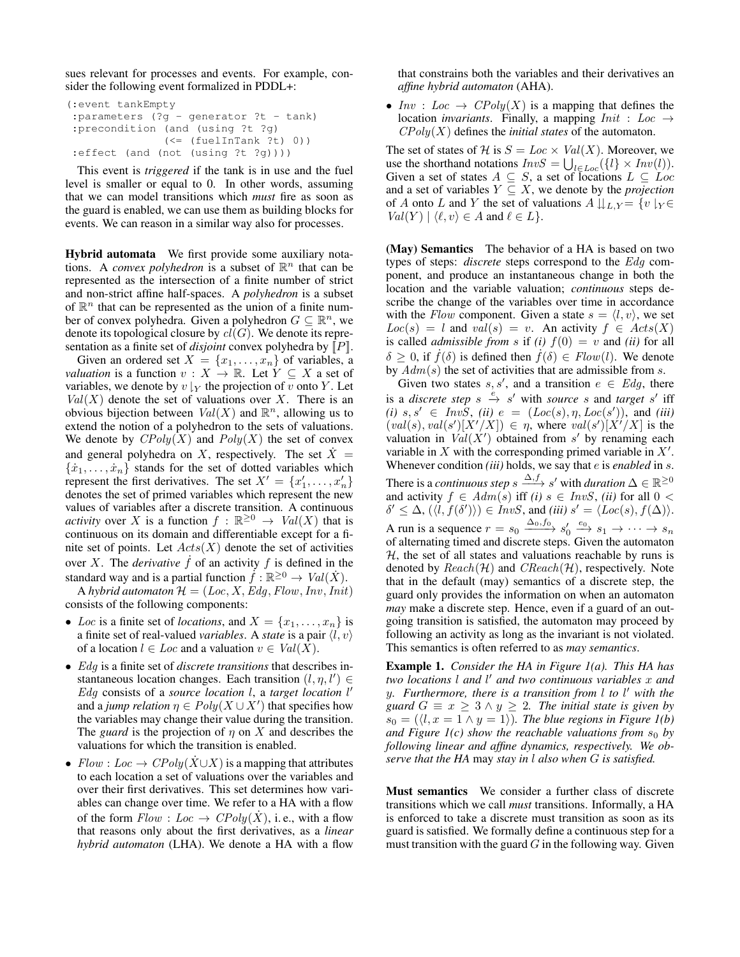sues relevant for processes and events. For example, consider the following event formalized in PDDL+:

```
(:event tankEmpty
:parameters (?g - generator ?t - tank)
:precondition (and (using ?t ?g)
               (<= (fuelInTank ?t) 0))
:effect (and (not (using ?t ?g))))
```
This event is *triggered* if the tank is in use and the fuel level is smaller or equal to 0. In other words, assuming that we can model transitions which *must* fire as soon as the guard is enabled, we can use them as building blocks for events. We can reason in a similar way also for processes.

Hybrid automata We first provide some auxiliary notations. A *convex polyhedron* is a subset of  $\mathbb{R}^n$  that can be represented as the intersection of a finite number of strict and non-strict affine half-spaces. A *polyhedron* is a subset of  $\mathbb{R}^n$  that can be represented as the union of a finite number of convex polyhedra. Given a polyhedron  $G \subseteq \mathbb{R}^n$ , we denote its topological closure by  $cl(G)$ . We denote its representation as a finite set of *disjoint* convex polyhedra by  $[$ P $]$ .

Given an ordered set  $X = \{x_1, \ldots, x_n\}$  of variables, a *valuation* is a function  $v : X \to \mathbb{R}$ . Let  $Y \subseteq X$  a set of variables, we denote by  $v \mid_Y$  the projection of v onto Y. Let  $Val(X)$  denote the set of valuations over X. There is an obvious bijection between  $Val(X)$  and  $\mathbb{R}^n$ , allowing us to extend the notion of a polyhedron to the sets of valuations. We denote by  $CPoly(X)$  and  $Poly(X)$  the set of convex and general polyhedra on X, respectively. The set  $X =$  $\{\dot{x}_1, \ldots, \dot{x}_n\}$  stands for the set of dotted variables which represent the first derivatives. The set  $X' = \{x'_1, \ldots, x'_n\}$ denotes the set of primed variables which represent the new values of variables after a discrete transition. A continuous *activity* over X is a function  $f : \mathbb{R}^{\geq 0} \to \text{Val}(X)$  that is continuous on its domain and differentiable except for a finite set of points. Let  $Acts(X)$  denote the set of activities over X. The *derivative*  $\hat{f}$  of an activity  $f$  is defined in the standard way and is a partial function  $\dot{f} : \mathbb{R}^{\geq 0} \to \text{Val}(\dot{X})$ .

A *hybrid automaton*  $\mathcal{H} = (Loc, X, Edg, Flow, Inv,Init)$ consists of the following components:

- Loc is a finite set of *locations*, and  $X = \{x_1, \ldots, x_n\}$  is a finite set of real-valued *variables*. A *state* is a pair  $\langle l, v \rangle$ of a location  $l \in Loc$  and a valuation  $v \in Val(X)$ .
- Edg is a finite set of *discrete transitions* that describes instantaneous location changes. Each transition  $(l, \eta, l') \in$ Edg consists of a *source location* l, a *target location* l 0 and a *jump relation*  $\eta \in Poly(X \cup X')$  that specifies how the variables may change their value during the transition. The *guard* is the projection of  $\eta$  on X and describes the valuations for which the transition is enabled.
- $Flow: Loc \rightarrow CPoly(X \cup X)$  is a mapping that attributes to each location a set of valuations over the variables and over their first derivatives. This set determines how variables can change over time. We refer to a HA with a flow of the form  $Flow: Loc \rightarrow CPoly(X)$ , i.e., with a flow that reasons only about the first derivatives, as a *linear hybrid automaton* (LHA). We denote a HA with a flow

that constrains both the variables and their derivatives an *affine hybrid automaton* (AHA).

• Inv : Loc  $\rightarrow CPoly(X)$  is a mapping that defines the location *invariants*. Finally, a mapping  $Init : Loc \rightarrow$  $CPoly(X)$  defines the *initial states* of the automaton.

The set of states of H is  $S = Loc \times Val(X)$ . Moreover, we use the shorthand notations  $InvS = \bigcup_{l \in Loc} (\{l\} \times Inv(l)).$ Given a set of states  $A \subseteq S$ , a set of locations  $L \subseteq Loc$ and a set of variables  $Y \subseteq X$ , we denote by the *projection* of A onto L and Y the set of valuations  $A \downarrow\downarrow_{L,Y} = \{v \downharpoonright_{Y} \in$  $Val(Y) | \langle \ell, v \rangle \in A$  and  $\ell \in L$ .

(May) Semantics The behavior of a HA is based on two types of steps: *discrete* steps correspond to the Edg component, and produce an instantaneous change in both the location and the variable valuation; *continuous* steps describe the change of the variables over time in accordance with the Flow component. Given a state  $s = \langle l, v \rangle$ , we set  $Loc(s) = l$  and  $val(s) = v$ . An activity  $f \in Acts(X)$ is called *admissible from* s if *(i)*  $f(0) = v$  and *(ii)* for all  $\delta > 0$ , if  $f(\delta)$  is defined then  $f(\delta) \in Flow(l)$ . We denote by  $Adm(s)$  the set of activities that are admissible from s.

Given two states  $s, s'$ , and a transition  $e \in Edg$ , there is a *discrete step*  $s \xrightarrow{e} s'$  with *source* s and *target* s' iff  $(i)$   $s, s' \in InvS$ ,  $(ii)$   $e = (Loc(s), \eta, Loc(s'))$ , and  $(iii)$  $(val(s), val(s')[X'/X]) \in \eta$ , where  $val(s')[X'/X]$  is the valuation in  $Val(X')$  obtained from s' by renaming each variable in X with the corresponding primed variable in  $X'$ . Whenever condition *(iii)* holds, we say that e is *enabled* in s. There is a *continuous step*  $s \xrightarrow{\Delta, f} s'$  with *duration*  $\Delta \in \mathbb{R}^{\geq 0}$ and activity  $f \in Adm(s)$  iff *(i)*  $s \in InvS$ , *(ii)* for all  $0 <$  $\delta' \leq \Delta$ ,  $(\langle l, f(\delta') \rangle) \in InvS$ , and *(iii)*  $s' = \langle Loc(s), f(\Delta) \rangle$ . A run is a sequence  $r = s_0 \xrightarrow{\Delta_0, f_0} s'_0 \xrightarrow{e_0} s_1 \rightarrow \cdots \rightarrow s_n$ <br>of alternating timed and discrete steps. Given the automaton  $H$ , the set of all states and valuations reachable by runs is denoted by  $Reach(\mathcal{H})$  and  $CReach(\mathcal{H})$ , respectively. Note that in the default (may) semantics of a discrete step, the guard only provides the information on when an automaton *may* make a discrete step. Hence, even if a guard of an outgoing transition is satisfied, the automaton may proceed by following an activity as long as the invariant is not violated. This semantics is often referred to as *may semantics*.

Example 1. *Consider the HA in Figure 1(a). This HA has two locations* l *and* l <sup>0</sup> *and two continuous variables* x *and* y*. Furthermore, there is a transition from* l *to* l <sup>0</sup> *with the guard*  $G \equiv x \geq 3 \land y \geq 2$ *. The initial state is given by*  $s_0 = (\langle l, x = 1 \land y = 1 \rangle)$ . The blue regions in Figure 1(b) *and Figure 1(c) show the reachable valuations from*  $s_0$  *by following linear and affine dynamics, respectively. We observe that the HA* may *stay in* l *also when* G *is satisfied.*

Must semantics We consider a further class of discrete transitions which we call *must* transitions. Informally, a HA is enforced to take a discrete must transition as soon as its guard is satisfied. We formally define a continuous step for a must transition with the guard  $G$  in the following way. Given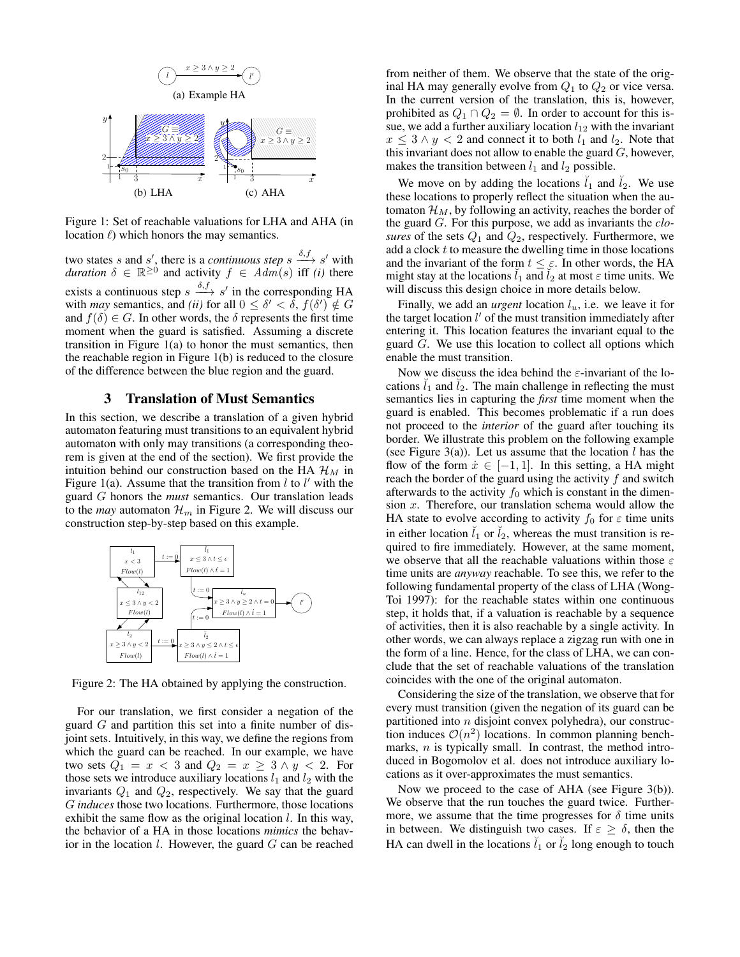

Figure 1: Set of reachable valuations for LHA and AHA (in location  $\ell$ ) which honors the may semantics.

two states s and s', there is a *continuous step*  $s \xrightarrow{\delta, f} s'$  with *duration*  $\delta \in \mathbb{R}^{\geq 0}$  and activity  $f \in Adm(s)$  iff *(i)* there exists a continuous step  $s \xrightarrow{\delta, f} s'$  in the corresponding HA with *may* semantics, and *(ii)* for all  $0 \le \delta' < \delta$ ,  $f(\delta') \notin G$ and  $f(\delta) \in G$ . In other words, the  $\delta$  represents the first time moment when the guard is satisfied. Assuming a discrete transition in Figure 1(a) to honor the must semantics, then the reachable region in Figure 1(b) is reduced to the closure of the difference between the blue region and the guard.

## 3 Translation of Must Semantics

In this section, we describe a translation of a given hybrid automaton featuring must transitions to an equivalent hybrid automaton with only may transitions (a corresponding theorem is given at the end of the section). We first provide the intuition behind our construction based on the HA  $\mathcal{H}_M$  in Figure 1(a). Assume that the transition from  $l$  to  $l'$  with the guard G honors the *must* semantics. Our translation leads to the *may* automaton  $\mathcal{H}_m$  in Figure 2. We will discuss our construction step-by-step based on this example.



Figure 2: The HA obtained by applying the construction.

For our translation, we first consider a negation of the guard  $G$  and partition this set into a finite number of disjoint sets. Intuitively, in this way, we define the regions from which the guard can be reached. In our example, we have two sets  $Q_1 = x < 3$  and  $Q_2 = x \ge 3 \wedge y < 2$ . For those sets we introduce auxiliary locations  $l_1$  and  $l_2$  with the invariants  $Q_1$  and  $Q_2$ , respectively. We say that the guard G *induces* those two locations. Furthermore, those locations exhibit the same flow as the original location  $l$ . In this way, the behavior of a HA in those locations *mimics* the behavior in the location  $l$ . However, the guard  $G$  can be reached from neither of them. We observe that the state of the original HA may generally evolve from  $Q_1$  to  $Q_2$  or vice versa. In the current version of the translation, this is, however, prohibited as  $Q_1 \cap Q_2 = \emptyset$ . In order to account for this issue, we add a further auxiliary location  $l_{12}$  with the invariant  $x \leq 3 \wedge y < 2$  and connect it to both  $l_1$  and  $l_2$ . Note that this invariant does not allow to enable the guard  $G$ , however, makes the transition between  $l_1$  and  $l_2$  possible.

We move on by adding the locations  $\tilde{l}_1$  and  $\tilde{l}_2$ . We use these locations to properly reflect the situation when the automaton  $\mathcal{H}_M$ , by following an activity, reaches the border of the guard G. For this purpose, we add as invariants the *closures* of the sets  $Q_1$  and  $Q_2$ , respectively. Furthermore, we add a clock  $t$  to measure the dwelling time in those locations and the invariant of the form  $t \leq \varepsilon$ . In other words, the HA might stay at the locations  $l_1$  and  $l_2$  at most  $\varepsilon$  time units. We will discuss this design choice in more details below.

Finally, we add an *urgent* location  $l_u$ , i.e. we leave it for the target location  $l'$  of the must transition immediately after entering it. This location features the invariant equal to the guard G. We use this location to collect all options which enable the must transition.

Now we discuss the idea behind the  $\varepsilon$ -invariant of the locations  $l_1$  and  $l_2$ . The main challenge in reflecting the must semantics lies in capturing the *first* time moment when the guard is enabled. This becomes problematic if a run does not proceed to the *interior* of the guard after touching its border. We illustrate this problem on the following example (see Figure 3(a)). Let us assume that the location  $l$  has the flow of the form  $\dot{x} \in [-1, 1]$ . In this setting, a HA might reach the border of the guard using the activity  $f$  and switch afterwards to the activity  $f_0$  which is constant in the dimension  $x$ . Therefore, our translation schema would allow the HA state to evolve according to activity  $f_0$  for  $\varepsilon$  time units in either location  $\tilde{l}_1$  or  $\tilde{l}_2$ , whereas the must transition is required to fire immediately. However, at the same moment, we observe that all the reachable valuations within those  $\varepsilon$ time units are *anyway* reachable. To see this, we refer to the following fundamental property of the class of LHA (Wong-Toi 1997): for the reachable states within one continuous step, it holds that, if a valuation is reachable by a sequence of activities, then it is also reachable by a single activity. In other words, we can always replace a zigzag run with one in the form of a line. Hence, for the class of LHA, we can conclude that the set of reachable valuations of the translation coincides with the one of the original automaton.

Considering the size of the translation, we observe that for every must transition (given the negation of its guard can be partitioned into  $n$  disjoint convex polyhedra), our construction induces  $\mathcal{O}(n^2)$  locations. In common planning benchmarks,  $n$  is typically small. In contrast, the method introduced in Bogomolov et al. does not introduce auxiliary locations as it over-approximates the must semantics.

Now we proceed to the case of AHA (see Figure 3(b)). We observe that the run touches the guard twice. Furthermore, we assume that the time progresses for  $\delta$  time units in between. We distinguish two cases. If  $\varepsilon \geq \delta$ , then the HA can dwell in the locations  $\tilde{l}_1$  or  $\tilde{l}_2$  long enough to touch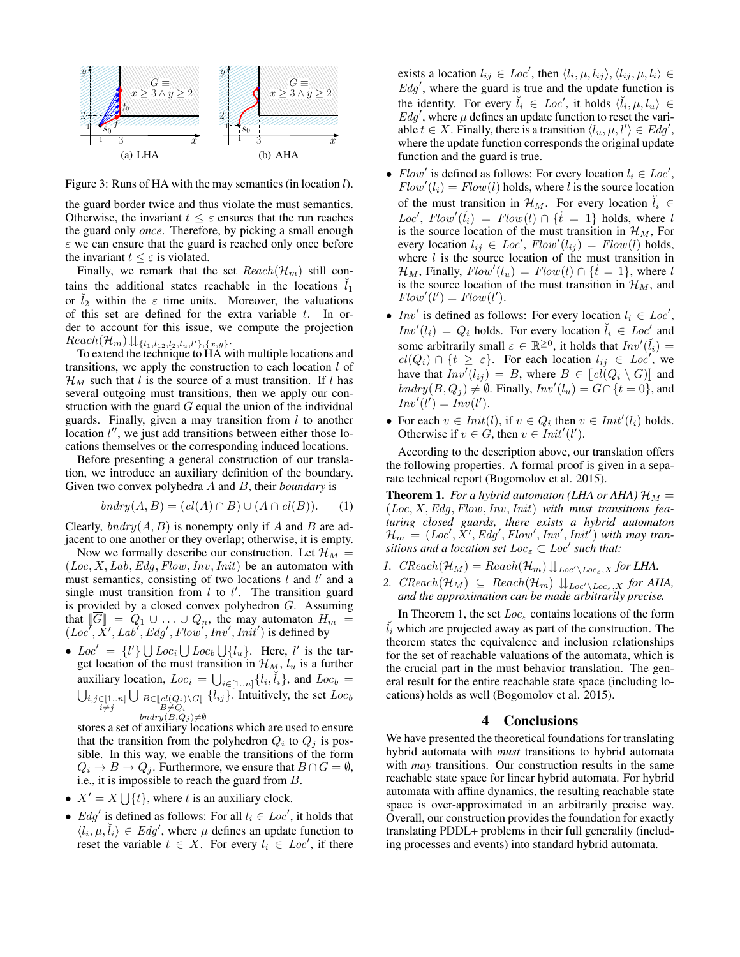

Figure 3: Runs of HA with the may semantics (in location  $l$ ).

the guard border twice and thus violate the must semantics. Otherwise, the invariant  $t \leq \varepsilon$  ensures that the run reaches the guard only *once*. Therefore, by picking a small enough  $\varepsilon$  we can ensure that the guard is reached only once before the invariant  $t \leq \varepsilon$  is violated.

Finally, we remark that the set  $Reach(\mathcal{H}_m)$  still contains the additional states reachable in the locations  $l_1$ or  $l_2$  within the  $\varepsilon$  time units. Moreover, the valuations of this set are defined for the extra variable  $t$ . In order to account for this issue, we compute the projection  $Reach(\mathcal{H}_m) \Downarrow_{\{l_1,l_1,2,l_2,l_u,l'\},\{x,y\}}.$ 

To extend the technique to HA with multiple locations and transitions, we apply the construction to each location  $l$  of  $\mathcal{H}_M$  such that l is the source of a must transition. If l has several outgoing must transitions, then we apply our construction with the guard  $G$  equal the union of the individual guards. Finally, given a may transition from  $l$  to another location  $l''$ , we just add transitions between either those locations themselves or the corresponding induced locations.

Before presenting a general construction of our translation, we introduce an auxiliary definition of the boundary. Given two convex polyhedra A and B, their *boundary* is

$$
bndry(A, B) = (cl(A) \cap B) \cup (A \cap cl(B)).
$$
 (1)

Clearly,  $bndry(A, B)$  is nonempty only if A and B are adjacent to one another or they overlap; otherwise, it is empty.

Now we formally describe our construction. Let  $\mathcal{H}_M$  =  $(Loc, X, Lab, Edg, Flow, Inv,Init)$  be an automaton with must semantics, consisting of two locations  $l$  and  $l'$  and a single must transition from  $l$  to  $l'$ . The transition guard is provided by a closed convex polyhedron G. Assuming that  $\llbracket G \rrbracket = Q_1 \cup \ldots \cup Q_n$ , the may automaton  $H_m = (Loc', X', Lab', Edg', Flow', Inv', Int')$  is defined by

•  $Loc' = \{l'\}\bigcup Loc_i \bigcup Loc_b \bigcup \{l_u\}.$  Here, l' is the target location of the must transition in  $\mathcal{H}_M$ ,  $l_u$  is a further auxiliary location,  $Loc_i = \bigcup_{i \in [1..n]} \{l_i, l_i\}$ , and  $Loc_b = \bigcup_{i,j \in [1..n]} \bigcup_{B \in [cl(O_i) \setminus G]} \{l_{ij}\}$ . Intuitively, the set  $Loc_b$ *i*,*j*∈[1..*n*]<br>*i*≠*j*  $\bigcup_{\substack{B \neq Q_i \\ bndry(B,Q_j) \neq \emptyset}}$  $\{l_{ij}\}\$ . Intuitively, the set  $Loc_b$ 

stores a set of auxiliary locations which are used to ensure that the transition from the polyhedron  $Q_i$  to  $Q_j$  is possible. In this way, we enable the transitions of the form  $Q_i \rightarrow B \rightarrow Q_j$ . Furthermore, we ensure that  $B \cap G = \emptyset$ , i.e., it is impossible to reach the guard from B.

- $X' = X \bigcup \{t\}$ , where t is an auxiliary clock.
- *Edg'* is defined as follows: For all  $l_i \in Loc'$ , it holds that  $\langle l_i, \mu, \tilde{l}_i \rangle \in Edg'$ , where  $\mu$  defines an update function to reset the variable  $t \in X$ . For every  $l_i \in Loc'$ , if there

exists a location  $l_{ij} \in Loc'$ , then  $\langle l_i, \mu, l_{ij} \rangle, \langle l_{ij}, \mu, l_i \rangle \in$  $Edg'$ , where the guard is true and the update function is the identity. For every  $\tilde{l}_i \in Loc'$ , it holds  $\langle \tilde{l}_i, \mu, l_u \rangle \in$  $Edg'$ , where  $\mu$  defines an update function to reset the variable  $t \in X$ . Finally, there is a transition  $\langle l_u, \mu, l' \rangle \in Edg'$ , where the update function corresponds the original update function and the guard is true.

- Flow' is defined as follows: For every location  $l_i \in Loc'$ ,  $Flow'(l_i) = Flow(l)$  holds, where l is the source location of the must transition in  $\mathcal{H}_M$ . For every location  $l_i \in$ Loc',  $Flow'(\check{l}_i) = Flow(l) \cap \{t = 1\}$  holds, where l is the source location of the must transition in  $\mathcal{H}_M$ , For every location  $l_{ij} \in Loc', Flow'(l_{ij}) = Flow(l)$  holds, where  $l$  is the source location of the must transition in  $\mathcal{H}_M$ , Finally,  $Flow'(l_u) = Flow(l) \cap \{t = 1\}$ , where l is the source location of the must transition in  $\mathcal{H}_M$ , and  $Flow'(l') = Flow(l').$
- Inv' is defined as follows: For every location  $l_i \in Loc'$ ,  $Inv'(l_i) = Q_i$  holds. For every location  $\check{l}_i \in Loc'$  and some arbitrarily small  $\varepsilon \in \mathbb{R}^{\geq 0}$ , it holds that  $Inv'(\check{l}_i) =$  $cl(Q_i) \cap \{t \geq \varepsilon\}.$  For each location  $l_{ij} \in Loc'$ , we have that  $Inv'(l_{ij}) = B$ , where  $B \in [cl(Q_i \setminus G)]$  and  $\text{bndry}(B, Q_j) \neq \emptyset$ . Finally,  $\text{Inv}'(l_u) = G \cap \{t = 0\}$ , and  $Inv'(l') = Inv(l').$
- For each  $v \in Init(l)$ , if  $v \in Q_i$  then  $v \in Init'(l_i)$  holds. Otherwise if  $v \in G$ , then  $v \in Init'(l')$ .

According to the description above, our translation offers the following properties. A formal proof is given in a separate technical report (Bogomolov et al. 2015).

**Theorem 1.** *For a hybrid automaton (LHA or AHA)*  $\mathcal{H}_M$  = (Loc, X,Edg, Flow,Inv,Init) *with must transitions featuring closed guards, there exists a hybrid automaton*  $\mathcal{H}_m = (Loc', X', Edg', Flow', Inv',Init')$  with may tran*sitions and a location set Loc*<sub> $\varepsilon$ </sub>  $\subset$  *Loc' such that:* 

- *1.*  $\text{CReach}(\mathcal{H}_M) = \text{Reach}(\mathcal{H}_m) \downarrow_{\text{Loc}' \setminus \text{Loc}_s, X}$  for LHA.
- 2.  $\text{CReach}(\mathcal{H}_M) \subseteq \text{Reach}(\mathcal{H}_m) \cup_{\text{Loc'} \backslash \text{Loc}_{\varepsilon}, X} \text{ for } \text{AHA},$ *and the approximation can be made arbitrarily precise.*

In Theorem 1, the set  $Loc_{\varepsilon}$  contains locations of the form  $l_i$  which are projected away as part of the construction. The theorem states the equivalence and inclusion relationships for the set of reachable valuations of the automata, which is the crucial part in the must behavior translation. The general result for the entire reachable state space (including locations) holds as well (Bogomolov et al. 2015).

#### 4 Conclusions

We have presented the theoretical foundations for translating hybrid automata with *must* transitions to hybrid automata with *may* transitions. Our construction results in the same reachable state space for linear hybrid automata. For hybrid automata with affine dynamics, the resulting reachable state space is over-approximated in an arbitrarily precise way. Overall, our construction provides the foundation for exactly translating PDDL+ problems in their full generality (including processes and events) into standard hybrid automata.